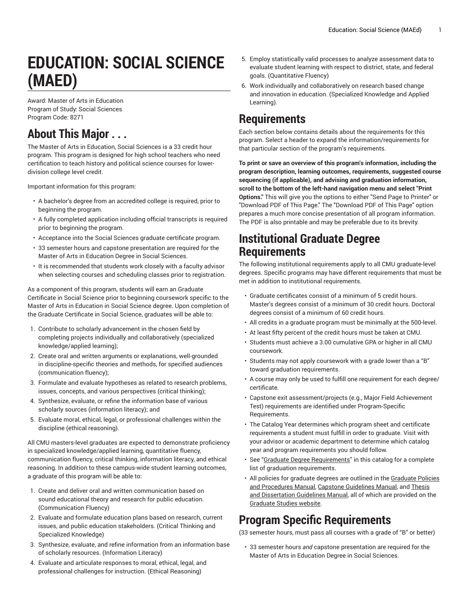# **EDUCATION: SOCIAL SCIENCE (MAED)**

Award: Master of Arts in Education Program of Study: Social Sciences Program Code: 8271

# **About This Major . . .**

The Master of Arts in Education, Social Sciences is a 33 credit hour program. This program is designed for high school teachers who need certification to teach history and political science courses for lowerdivision college level credit.

Important information for this program:

- A bachelor's degree from an accredited college is required, prior to beginning the program.
- A fully completed application including official transcripts is required prior to beginning the program.
- Acceptance into the Social Sciences graduate certificate program.
- 33 semester hours and capstone presentation are required for the Master of Arts in Education Degree in Social Sciences.
- It is recommended that students work closely with a faculty advisor when selecting courses and scheduling classes prior to registration.

As a component of this program, students will earn an Graduate Certificate in Social Science prior to beginning coursework specific to the Master of Arts in Education in Social Science degree. Upon completion of the Graduate Certificate in Social Science, graduates will be able to:

- 1. Contribute to scholarly advancement in the chosen field by completing projects individually and collaboratively (specialized knowledge/applied learning);
- 2. Create oral and written arguments or explanations, well-grounded in discipline-specific theories and methods, for specified audiences (communication fluency);
- 3. Formulate and evaluate hypotheses as related to research problems, issues, concepts, and various perspectives (critical thinking);
- 4. Synthesize, evaluate, or refine the information base of various scholarly sources (information literacy); and
- 5. Evaluate moral, ethical, legal, or professional challenges within the discipline (ethical reasoning).

All CMU masters-level graduates are expected to demonstrate proficiency in specialized knowledge/applied learning, quantitative fluency, communication fluency, critical thinking, information literacy, and ethical reasoning. In addition to these campus-wide student learning outcomes, a graduate of this program will be able to:

- 1. Create and deliver oral and written communication based on sound educational theory and research for public education. (Communication Fluency)
- 2. Evaluate and formulate education plans based on research, current issues, and public education stakeholders. (Critical Thinking and Specialized Knowledge)
- 3. Synthesize, evaluate, and refine information from an information base of scholarly resources. (Information Literacy)
- 4. Evaluate and articulate responses to moral, ethical, legal, and professional challenges for instruction. (Ethical Reasoning)
- 5. Employ statistically valid processes to analyze assessment data to evaluate student learning with respect to district, state, and federal goals. (Quantitative Fluency)
- 6. Work individually and collaboratively on research based change and innovation in education. (Specialized Knowledge and Applied Learning).

## **Requirements**

Each section below contains details about the requirements for this program. Select a header to expand the information/requirements for that particular section of the program's requirements.

**To print or save an overview of this program's information, including the program description, learning outcomes, requirements, suggested course sequencing (if applicable), and advising and graduation information, scroll to the bottom of the left-hand navigation menu and select "Print Options."** This will give you the options to either "Send Page to Printer" or "Download PDF of This Page." The "Download PDF of This Page" option prepares a much more concise presentation of all program information. The PDF is also printable and may be preferable due to its brevity.

### **Institutional Graduate Degree Requirements**

The following institutional requirements apply to all CMU graduate-level degrees. Specific programs may have different requirements that must be met in addition to institutional requirements.

- Graduate certificates consist of a minimum of 5 credit hours. Master's degrees consist of a minimum of 30 credit hours. Doctoral degrees consist of a minimum of 60 credit hours.
- All credits in a graduate program must be minimally at the 500-level.
- At least fifty percent of the credit hours must be taken at CMU.
- Students must achieve a 3.00 cumulative GPA or higher in all CMU coursework.
- Students may not apply coursework with a grade lower than a "B" toward graduation requirements.
- A course may only be used to fulfill one requirement for each degree/ certificate.
- Capstone exit assessment/projects (e.g., Major Field Achievement Test) requirements are identified under Program-Specific Requirements.
- The Catalog Year determines which program sheet and certificate requirements a student must fulfill in order to graduate. Visit with your advisor or academic department to determine which catalog year and program requirements you should follow.
- See "Graduate Degree [Requirements](http://catalog.coloradomesa.edu/graduate-information-programs/degree-requirements/)" in this catalog for a complete list of graduation requirements.
- All policies for graduate degrees are outlined in the [Graduate](https://www.coloradomesa.edu/graduate/documents/GraduatePoliciesProcedures.pdf) Policies and [Procedures](https://www.coloradomesa.edu/graduate/documents/GraduatePoliciesProcedures.pdf) Manual, [Capstone Guidelines Manual](https://www.coloradomesa.edu/graduate/capstone-guidelines-oct-2018.pdf), and [Thesis](https://www.coloradomesa.edu/graduate/thesis-disserataion-guidelines-oct-2018.pdf) and [Dissertation](https://www.coloradomesa.edu/graduate/thesis-disserataion-guidelines-oct-2018.pdf) Guidelines Manual, all of which are provided on the [Graduate Studies website.](https://www.coloradomesa.edu/graduate/)

## **Program Specific Requirements**

(33 semester hours, must pass all courses with a grade of "B" or better)

• 33 semester hours *and* capstone presentation are required for the Master of Arts in Education Degree in Social Sciences.